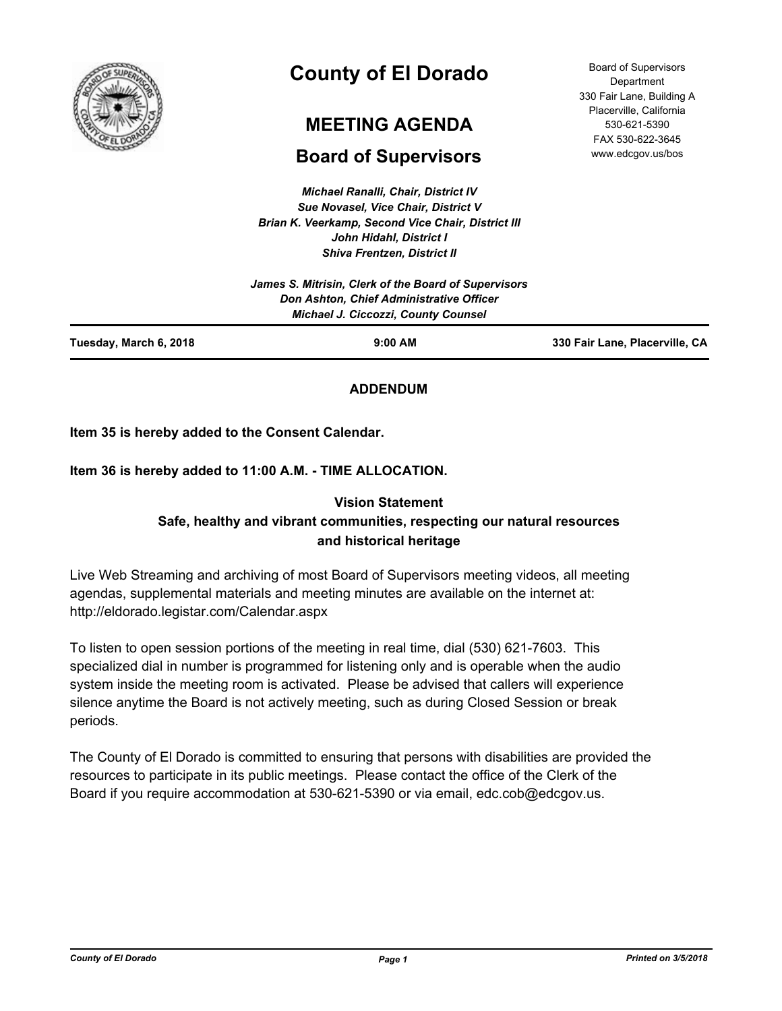

# **County of El Dorado**

# **MEETING AGENDA**

## **Board of Supervisors**

*Michael Ranalli, Chair, District IV Sue Novasel, Vice Chair, District V Brian K. Veerkamp, Second Vice Chair, District III John Hidahl, District I Shiva Frentzen, District II*

|                        | James S. Mitrisin, Clerk of the Board of Supervisors<br>Don Ashton, Chief Administrative Officer<br><b>Michael J. Ciccozzi, County Counsel</b> |                                |
|------------------------|------------------------------------------------------------------------------------------------------------------------------------------------|--------------------------------|
| Tuesday, March 6, 2018 | $9:00$ AM                                                                                                                                      | 330 Fair Lane, Placerville, CA |

**ADDENDUM**

**Item 35 is hereby added to the Consent Calendar.**

### **Item 36 is hereby added to 11:00 A.M. - TIME ALLOCATION.**

## **Vision Statement Safe, healthy and vibrant communities, respecting our natural resources and historical heritage**

Live Web Streaming and archiving of most Board of Supervisors meeting videos, all meeting agendas, supplemental materials and meeting minutes are available on the internet at: http://eldorado.legistar.com/Calendar.aspx

To listen to open session portions of the meeting in real time, dial (530) 621-7603. This specialized dial in number is programmed for listening only and is operable when the audio system inside the meeting room is activated. Please be advised that callers will experience silence anytime the Board is not actively meeting, such as during Closed Session or break periods.

The County of El Dorado is committed to ensuring that persons with disabilities are provided the resources to participate in its public meetings. Please contact the office of the Clerk of the Board if you require accommodation at 530-621-5390 or via email, edc.cob@edcgov.us.

Board of Supervisors **Department** 330 Fair Lane, Building A Placerville, California 530-621-5390 FAX 530-622-3645 www.edcgov.us/bos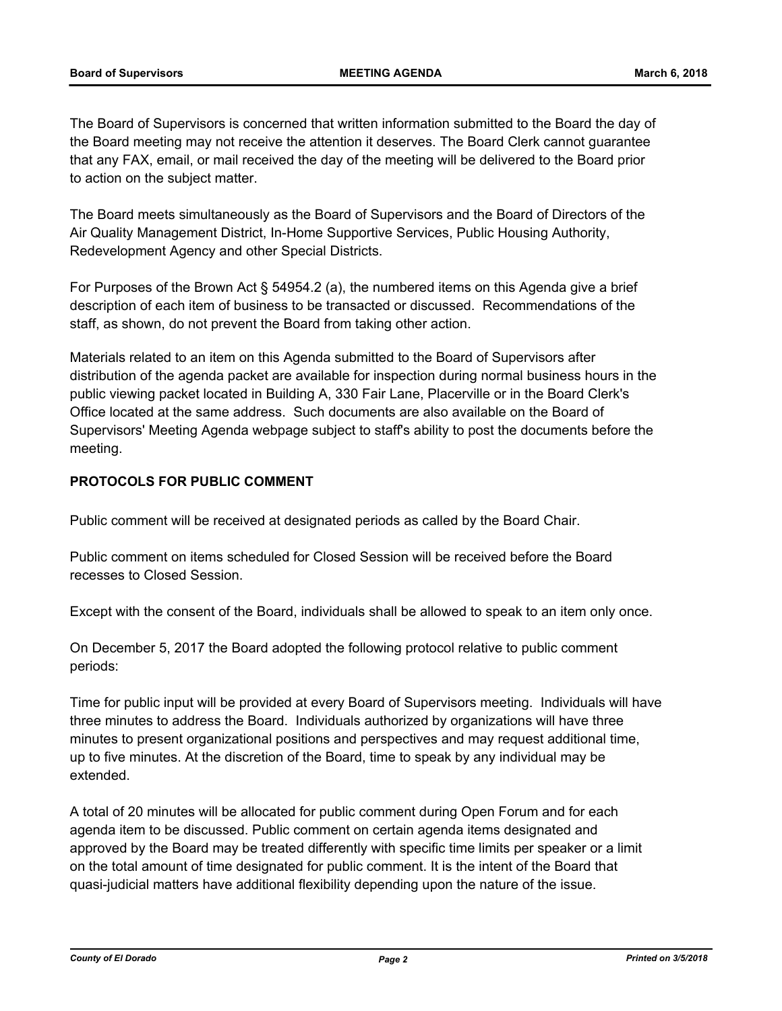The Board of Supervisors is concerned that written information submitted to the Board the day of the Board meeting may not receive the attention it deserves. The Board Clerk cannot guarantee that any FAX, email, or mail received the day of the meeting will be delivered to the Board prior to action on the subject matter.

The Board meets simultaneously as the Board of Supervisors and the Board of Directors of the Air Quality Management District, In-Home Supportive Services, Public Housing Authority, Redevelopment Agency and other Special Districts.

For Purposes of the Brown Act § 54954.2 (a), the numbered items on this Agenda give a brief description of each item of business to be transacted or discussed. Recommendations of the staff, as shown, do not prevent the Board from taking other action.

Materials related to an item on this Agenda submitted to the Board of Supervisors after distribution of the agenda packet are available for inspection during normal business hours in the public viewing packet located in Building A, 330 Fair Lane, Placerville or in the Board Clerk's Office located at the same address. Such documents are also available on the Board of Supervisors' Meeting Agenda webpage subject to staff's ability to post the documents before the meeting.

## **PROTOCOLS FOR PUBLIC COMMENT**

Public comment will be received at designated periods as called by the Board Chair.

Public comment on items scheduled for Closed Session will be received before the Board recesses to Closed Session.

Except with the consent of the Board, individuals shall be allowed to speak to an item only once.

On December 5, 2017 the Board adopted the following protocol relative to public comment periods:

Time for public input will be provided at every Board of Supervisors meeting. Individuals will have three minutes to address the Board. Individuals authorized by organizations will have three minutes to present organizational positions and perspectives and may request additional time, up to five minutes. At the discretion of the Board, time to speak by any individual may be extended.

A total of 20 minutes will be allocated for public comment during Open Forum and for each agenda item to be discussed. Public comment on certain agenda items designated and approved by the Board may be treated differently with specific time limits per speaker or a limit on the total amount of time designated for public comment. It is the intent of the Board that quasi-judicial matters have additional flexibility depending upon the nature of the issue.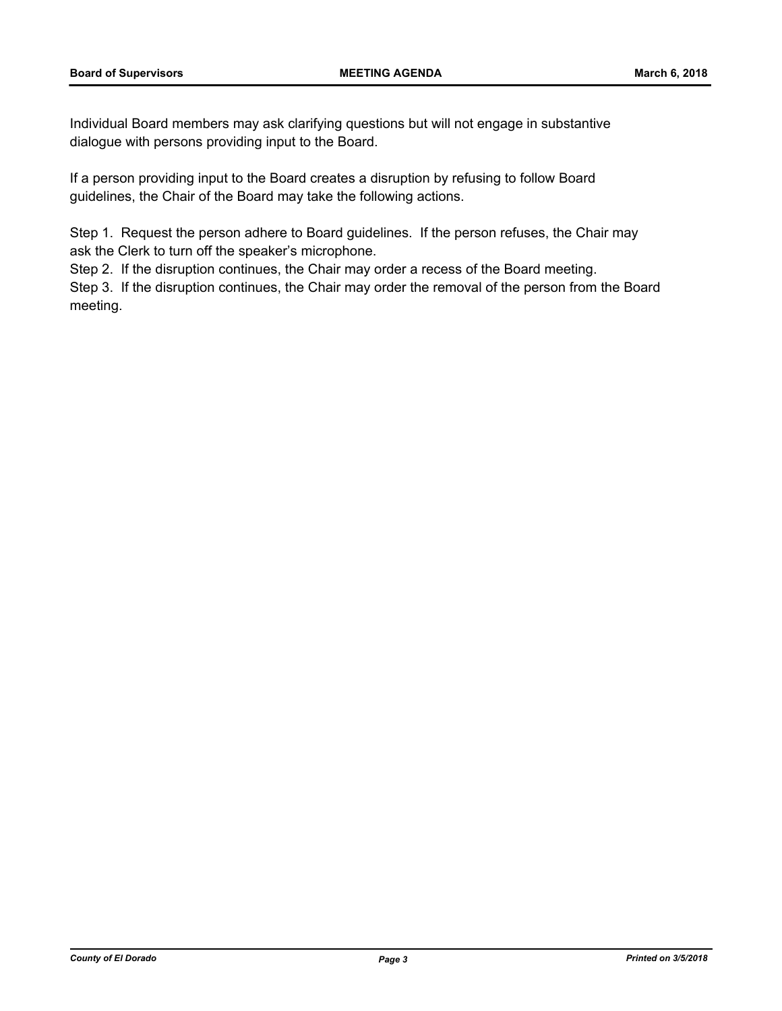Individual Board members may ask clarifying questions but will not engage in substantive dialogue with persons providing input to the Board.

If a person providing input to the Board creates a disruption by refusing to follow Board guidelines, the Chair of the Board may take the following actions.

Step 1. Request the person adhere to Board guidelines. If the person refuses, the Chair may ask the Clerk to turn off the speaker's microphone.

Step 2. If the disruption continues, the Chair may order a recess of the Board meeting.

Step 3. If the disruption continues, the Chair may order the removal of the person from the Board meeting.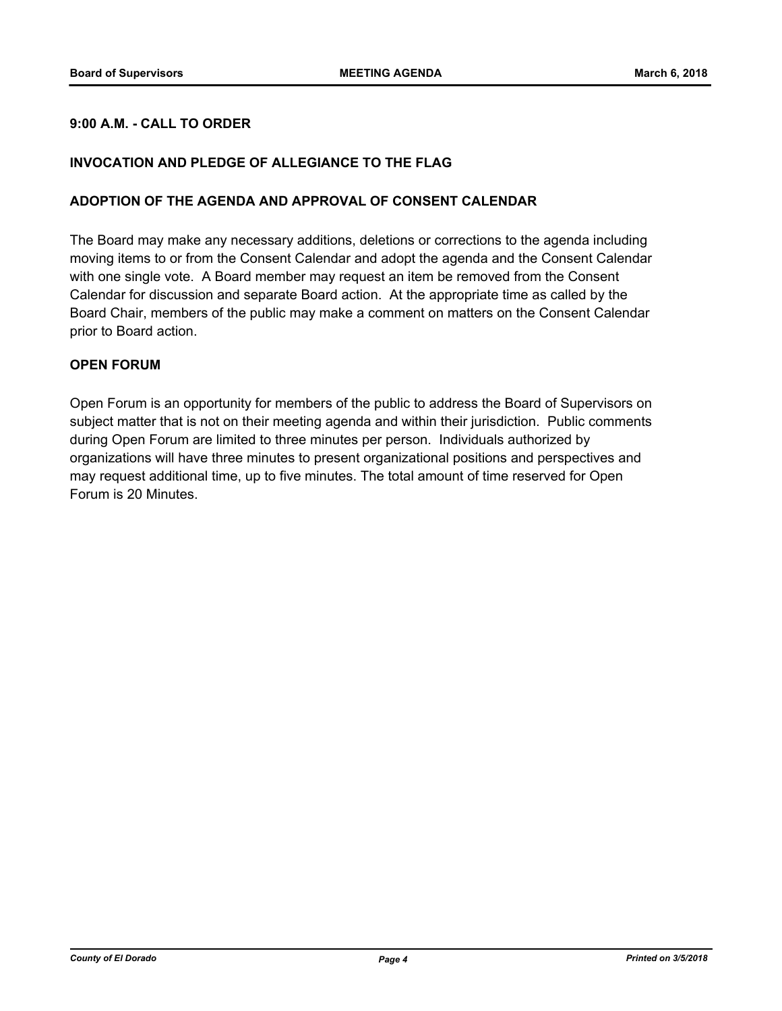#### **9:00 A.M. - CALL TO ORDER**

#### **INVOCATION AND PLEDGE OF ALLEGIANCE TO THE FLAG**

#### **ADOPTION OF THE AGENDA AND APPROVAL OF CONSENT CALENDAR**

The Board may make any necessary additions, deletions or corrections to the agenda including moving items to or from the Consent Calendar and adopt the agenda and the Consent Calendar with one single vote. A Board member may request an item be removed from the Consent Calendar for discussion and separate Board action. At the appropriate time as called by the Board Chair, members of the public may make a comment on matters on the Consent Calendar prior to Board action.

#### **OPEN FORUM**

Open Forum is an opportunity for members of the public to address the Board of Supervisors on subject matter that is not on their meeting agenda and within their jurisdiction. Public comments during Open Forum are limited to three minutes per person. Individuals authorized by organizations will have three minutes to present organizational positions and perspectives and may request additional time, up to five minutes. The total amount of time reserved for Open Forum is 20 Minutes.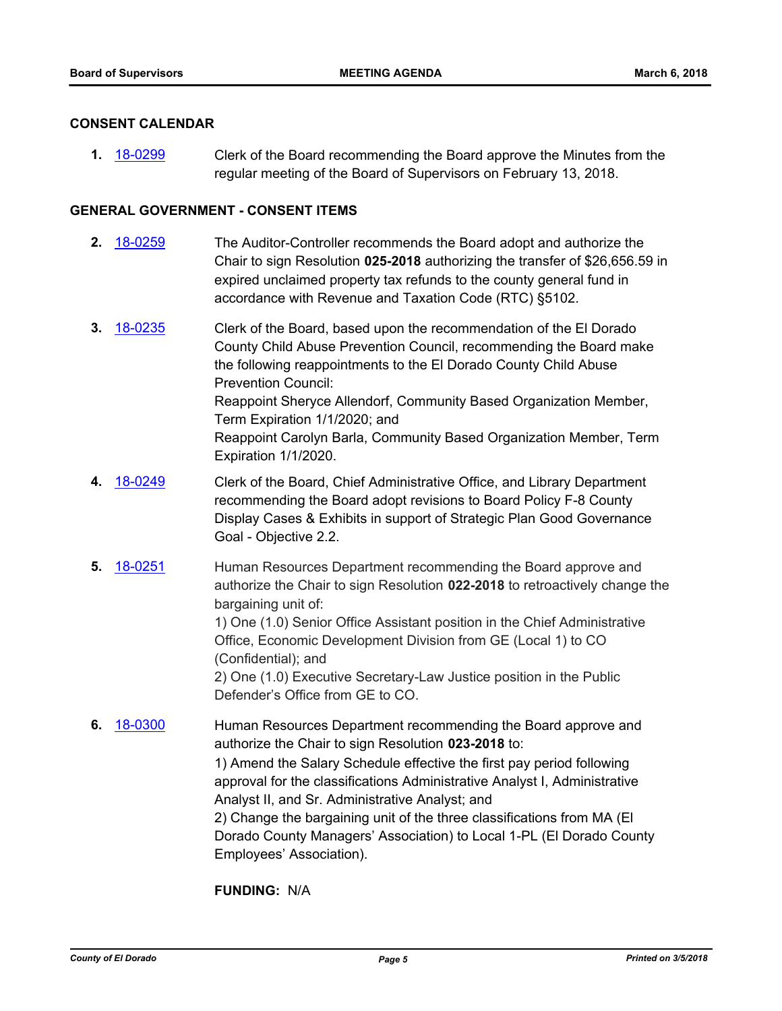#### **CONSENT CALENDAR**

**1.** [18-0299](http://eldorado.legistar.com/gateway.aspx?m=l&id=/matter.aspx?key=23642) Clerk of the Board recommending the Board approve the Minutes from the regular meeting of the Board of Supervisors on February 13, 2018.

#### **GENERAL GOVERNMENT - CONSENT ITEMS**

- **2.** [18-0259](http://eldorado.legistar.com/gateway.aspx?m=l&id=/matter.aspx?key=23602) The Auditor-Controller recommends the Board adopt and authorize the Chair to sign Resolution **025-2018** authorizing the transfer of \$26,656.59 in expired unclaimed property tax refunds to the county general fund in accordance with Revenue and Taxation Code (RTC) §5102.
- **3.** [18-0235](http://eldorado.legistar.com/gateway.aspx?m=l&id=/matter.aspx?key=23577) Clerk of the Board, based upon the recommendation of the El Dorado County Child Abuse Prevention Council, recommending the Board make the following reappointments to the El Dorado County Child Abuse Prevention Council: Reappoint Sheryce Allendorf, Community Based Organization Member, Term Expiration 1/1/2020; and Reappoint Carolyn Barla, Community Based Organization Member, Term Expiration 1/1/2020.
- **4.** [18-0249](http://eldorado.legistar.com/gateway.aspx?m=l&id=/matter.aspx?key=23592) Clerk of the Board, Chief Administrative Office, and Library Department recommending the Board adopt revisions to Board Policy F-8 County Display Cases & Exhibits in support of Strategic Plan Good Governance Goal - Objective 2.2.
- **5.** [18-0251](http://eldorado.legistar.com/gateway.aspx?m=l&id=/matter.aspx?key=23594) Human Resources Department recommending the Board approve and authorize the Chair to sign Resolution **022-2018** to retroactively change the bargaining unit of: 1) One (1.0) Senior Office Assistant position in the Chief Administrative

Office, Economic Development Division from GE (Local 1) to CO (Confidential); and

2) One (1.0) Executive Secretary-Law Justice position in the Public Defender's Office from GE to CO.

**6.** [18-0300](http://eldorado.legistar.com/gateway.aspx?m=l&id=/matter.aspx?key=23643) Human Resources Department recommending the Board approve and authorize the Chair to sign Resolution **023-2018** to: 1) Amend the Salary Schedule effective the first pay period following approval for the classifications Administrative Analyst I, Administrative Analyst II, and Sr. Administrative Analyst; and 2) Change the bargaining unit of the three classifications from MA (El Dorado County Managers' Association) to Local 1-PL (El Dorado County Employees' Association).

#### **FUNDING:** N/A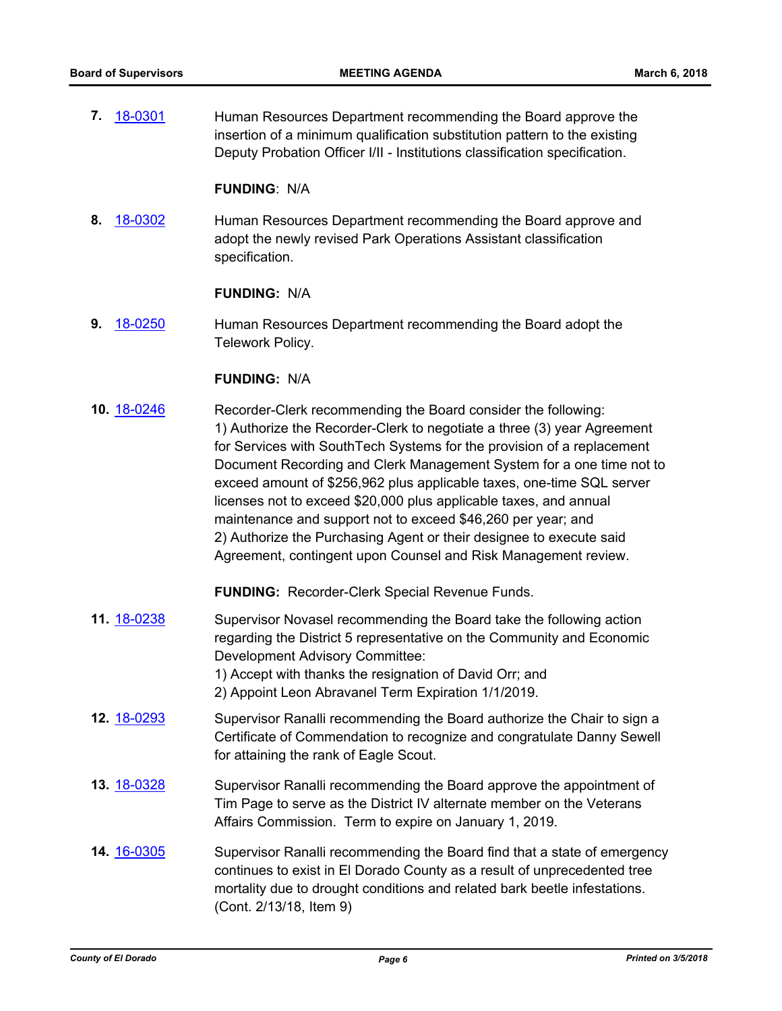**7.** [18-0301](http://eldorado.legistar.com/gateway.aspx?m=l&id=/matter.aspx?key=23644) Human Resources Department recommending the Board approve the insertion of a minimum qualification substitution pattern to the existing Deputy Probation Officer I/II - Institutions classification specification.

#### **FUNDING**: N/A

**8.** [18-0302](http://eldorado.legistar.com/gateway.aspx?m=l&id=/matter.aspx?key=23645) Human Resources Department recommending the Board approve and adopt the newly revised Park Operations Assistant classification specification.

#### **FUNDING:** N/A

**9.** [18-0250](http://eldorado.legistar.com/gateway.aspx?m=l&id=/matter.aspx?key=23593) Human Resources Department recommending the Board adopt the Telework Policy.

#### **FUNDING:** N/A

**10.** [18-0246](http://eldorado.legistar.com/gateway.aspx?m=l&id=/matter.aspx?key=23589) Recorder-Clerk recommending the Board consider the following: 1) Authorize the Recorder-Clerk to negotiate a three (3) year Agreement for Services with SouthTech Systems for the provision of a replacement Document Recording and Clerk Management System for a one time not to exceed amount of \$256,962 plus applicable taxes, one-time SQL server licenses not to exceed \$20,000 plus applicable taxes, and annual maintenance and support not to exceed \$46,260 per year; and 2) Authorize the Purchasing Agent or their designee to execute said Agreement, contingent upon Counsel and Risk Management review.

**FUNDING:** Recorder-Clerk Special Revenue Funds.

- **11.** [18-0238](http://eldorado.legistar.com/gateway.aspx?m=l&id=/matter.aspx?key=23580) Supervisor Novasel recommending the Board take the following action regarding the District 5 representative on the Community and Economic Development Advisory Committee:
	- 1) Accept with thanks the resignation of David Orr; and
	- 2) Appoint Leon Abravanel Term Expiration 1/1/2019.
- **12.** [18-0293](http://eldorado.legistar.com/gateway.aspx?m=l&id=/matter.aspx?key=23636) Supervisor Ranalli recommending the Board authorize the Chair to sign a Certificate of Commendation to recognize and congratulate Danny Sewell for attaining the rank of Eagle Scout.
- **13.** [18-0328](http://eldorado.legistar.com/gateway.aspx?m=l&id=/matter.aspx?key=23671) Supervisor Ranalli recommending the Board approve the appointment of Tim Page to serve as the District IV alternate member on the Veterans Affairs Commission. Term to expire on January 1, 2019.
- **14.** [16-0305](http://eldorado.legistar.com/gateway.aspx?m=l&id=/matter.aspx?key=20961) Supervisor Ranalli recommending the Board find that a state of emergency continues to exist in El Dorado County as a result of unprecedented tree mortality due to drought conditions and related bark beetle infestations. (Cont. 2/13/18, Item 9)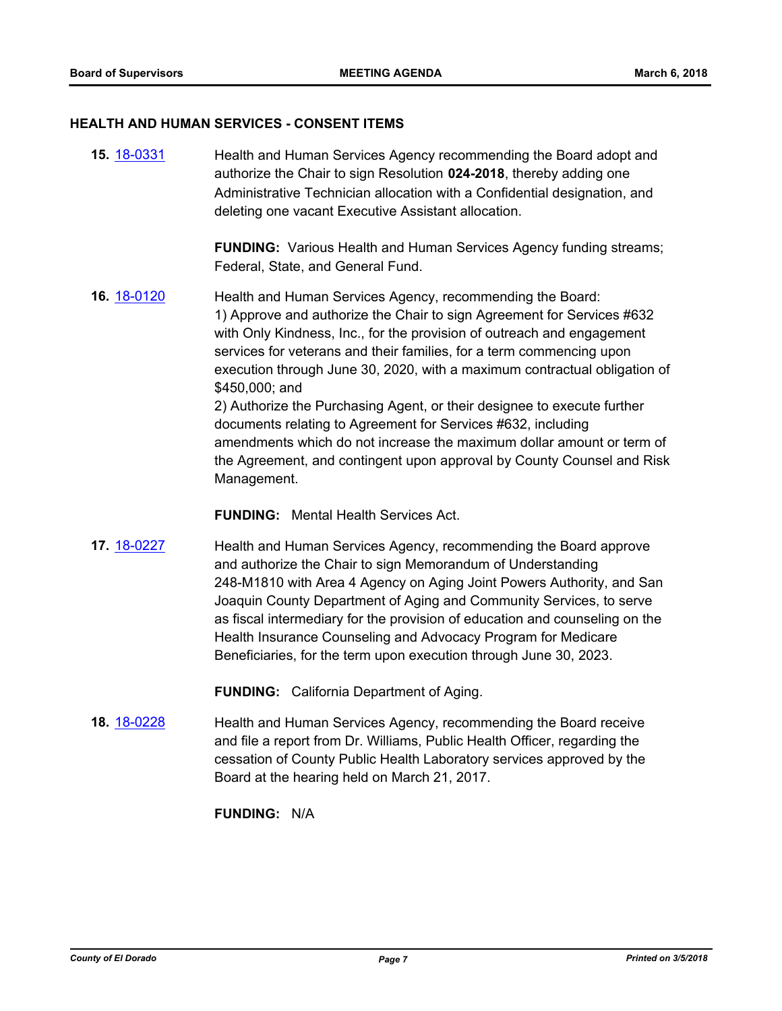#### **HEALTH AND HUMAN SERVICES - CONSENT ITEMS**

**15.** [18-0331](http://eldorado.legistar.com/gateway.aspx?m=l&id=/matter.aspx?key=23674) Health and Human Services Agency recommending the Board adopt and authorize the Chair to sign Resolution **024-2018**, thereby adding one Administrative Technician allocation with a Confidential designation, and deleting one vacant Executive Assistant allocation.

> **FUNDING:** Various Health and Human Services Agency funding streams; Federal, State, and General Fund.

**16.** [18-0120](http://eldorado.legistar.com/gateway.aspx?m=l&id=/matter.aspx?key=23462) Health and Human Services Agency, recommending the Board: 1) Approve and authorize the Chair to sign Agreement for Services #632 with Only Kindness, Inc., for the provision of outreach and engagement services for veterans and their families, for a term commencing upon execution through June 30, 2020, with a maximum contractual obligation of \$450,000; and 2) Authorize the Purchasing Agent, or their designee to execute further documents relating to Agreement for Services #632, including

amendments which do not increase the maximum dollar amount or term of the Agreement, and contingent upon approval by County Counsel and Risk Management.

**FUNDING:** Mental Health Services Act.

**17.** [18-0227](http://eldorado.legistar.com/gateway.aspx?m=l&id=/matter.aspx?key=23569) Health and Human Services Agency, recommending the Board approve and authorize the Chair to sign Memorandum of Understanding 248-M1810 with Area 4 Agency on Aging Joint Powers Authority, and San Joaquin County Department of Aging and Community Services, to serve as fiscal intermediary for the provision of education and counseling on the Health Insurance Counseling and Advocacy Program for Medicare Beneficiaries, for the term upon execution through June 30, 2023.

**FUNDING:** California Department of Aging.

**18.** [18-0228](http://eldorado.legistar.com/gateway.aspx?m=l&id=/matter.aspx?key=23570) Health and Human Services Agency, recommending the Board receive and file a report from Dr. Williams, Public Health Officer, regarding the cessation of County Public Health Laboratory services approved by the Board at the hearing held on March 21, 2017.

#### **FUNDING:** N/A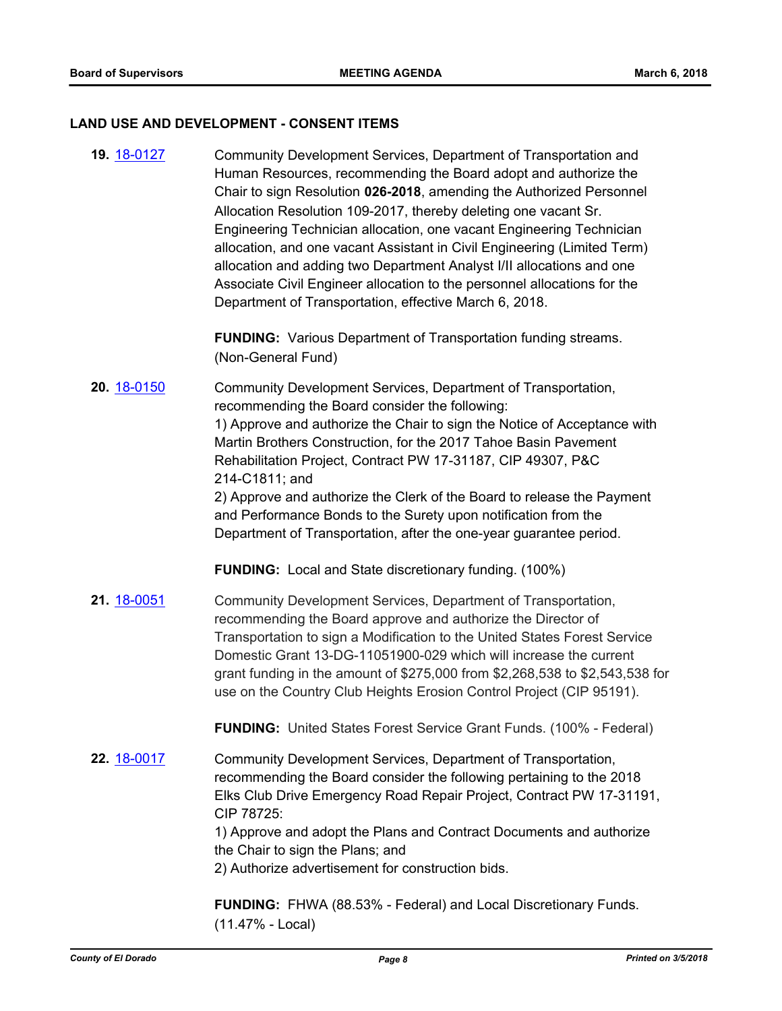#### **LAND USE AND DEVELOPMENT - CONSENT ITEMS**

**19.** [18-0127](http://eldorado.legistar.com/gateway.aspx?m=l&id=/matter.aspx?key=23469) Community Development Services, Department of Transportation and Human Resources, recommending the Board adopt and authorize the Chair to sign Resolution **026-2018**, amending the Authorized Personnel Allocation Resolution 109-2017, thereby deleting one vacant Sr. Engineering Technician allocation, one vacant Engineering Technician allocation, and one vacant Assistant in Civil Engineering (Limited Term) allocation and adding two Department Analyst I/II allocations and one Associate Civil Engineer allocation to the personnel allocations for the Department of Transportation, effective March 6, 2018.

> **FUNDING:** Various Department of Transportation funding streams. (Non-General Fund)

**20.** [18-0150](http://eldorado.legistar.com/gateway.aspx?m=l&id=/matter.aspx?key=23492) Community Development Services, Department of Transportation, recommending the Board consider the following: 1) Approve and authorize the Chair to sign the Notice of Acceptance with Martin Brothers Construction, for the 2017 Tahoe Basin Pavement Rehabilitation Project, Contract PW 17-31187, CIP 49307, P&C 214-C1811; and 2) Approve and authorize the Clerk of the Board to release the Payment

and Performance Bonds to the Surety upon notification from the Department of Transportation, after the one-year guarantee period.

**FUNDING:** Local and State discretionary funding. (100%)

21. [18-0051](http://eldorado.legistar.com/gateway.aspx?m=l&id=/matter.aspx?key=23392) Community Development Services, Department of Transportation, recommending the Board approve and authorize the Director of Transportation to sign a Modification to the United States Forest Service Domestic Grant 13-DG-11051900-029 which will increase the current grant funding in the amount of \$275,000 from \$2,268,538 to \$2,543,538 for use on the Country Club Heights Erosion Control Project (CIP 95191).

**FUNDING:** United States Forest Service Grant Funds. (100% - Federal)

**22.** [18-0017](http://eldorado.legistar.com/gateway.aspx?m=l&id=/matter.aspx?key=23358) Community Development Services, Department of Transportation, recommending the Board consider the following pertaining to the 2018 Elks Club Drive Emergency Road Repair Project, Contract PW 17-31191, CIP 78725:

> 1) Approve and adopt the Plans and Contract Documents and authorize the Chair to sign the Plans; and

2) Authorize advertisement for construction bids.

**FUNDING:** FHWA (88.53% - Federal) and Local Discretionary Funds. (11.47% - Local)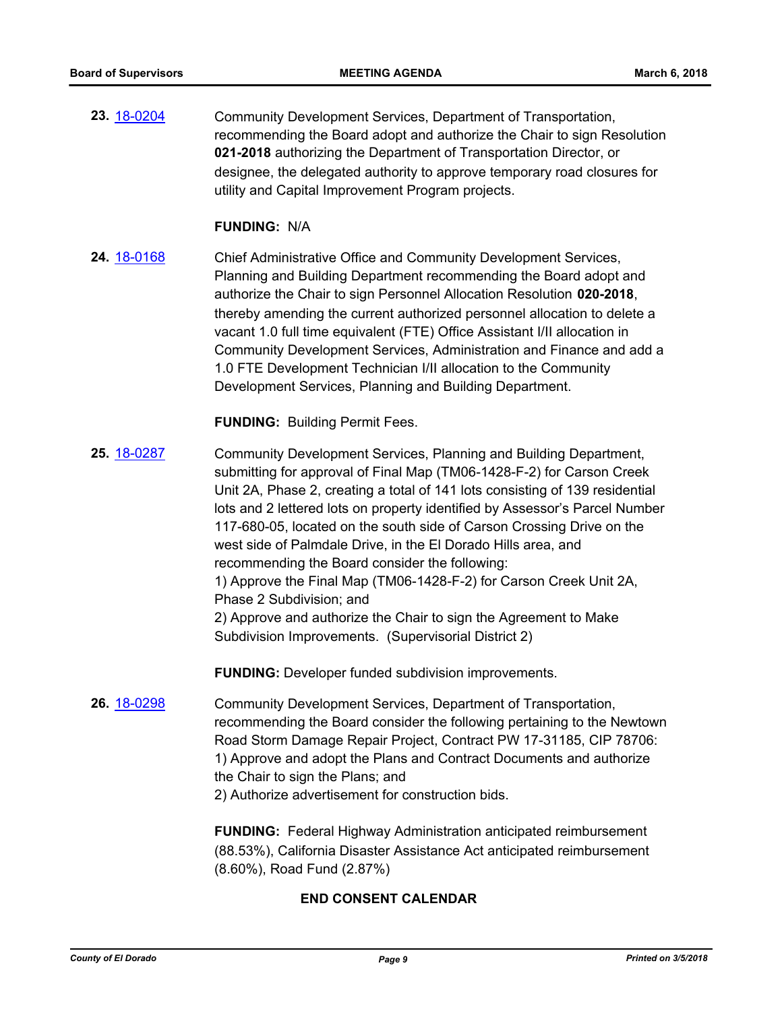**23.** [18-0204](http://eldorado.legistar.com/gateway.aspx?m=l&id=/matter.aspx?key=23546) Community Development Services, Department of Transportation, recommending the Board adopt and authorize the Chair to sign Resolution **021-2018** authorizing the Department of Transportation Director, or designee, the delegated authority to approve temporary road closures for utility and Capital Improvement Program projects.

#### **FUNDING:** N/A

**24.** [18-0168](http://eldorado.legistar.com/gateway.aspx?m=l&id=/matter.aspx?key=23510) Chief Administrative Office and Community Development Services, Planning and Building Department recommending the Board adopt and authorize the Chair to sign Personnel Allocation Resolution **020-2018**, thereby amending the current authorized personnel allocation to delete a vacant 1.0 full time equivalent (FTE) Office Assistant I/II allocation in Community Development Services, Administration and Finance and add a 1.0 FTE Development Technician I/II allocation to the Community Development Services, Planning and Building Department.

**FUNDING:** Building Permit Fees.

**25.** [18-0287](http://eldorado.legistar.com/gateway.aspx?m=l&id=/matter.aspx?key=23630) Community Development Services, Planning and Building Department, submitting for approval of Final Map (TM06-1428-F-2) for Carson Creek Unit 2A, Phase 2, creating a total of 141 lots consisting of 139 residential lots and 2 lettered lots on property identified by Assessor's Parcel Number 117-680-05, located on the south side of Carson Crossing Drive on the west side of Palmdale Drive, in the El Dorado Hills area, and recommending the Board consider the following: 1) Approve the Final Map (TM06-1428-F-2) for Carson Creek Unit 2A, Phase 2 Subdivision; and 2) Approve and authorize the Chair to sign the Agreement to Make Subdivision Improvements. (Supervisorial District 2)

**FUNDING:** Developer funded subdivision improvements.

**26.** [18-0298](http://eldorado.legistar.com/gateway.aspx?m=l&id=/matter.aspx?key=23641) Community Development Services, Department of Transportation, recommending the Board consider the following pertaining to the Newtown Road Storm Damage Repair Project, Contract PW 17-31185, CIP 78706: 1) Approve and adopt the Plans and Contract Documents and authorize the Chair to sign the Plans; and 2) Authorize advertisement for construction bids.

> **FUNDING:** Federal Highway Administration anticipated reimbursement (88.53%), California Disaster Assistance Act anticipated reimbursement (8.60%), Road Fund (2.87%)

## **END CONSENT CALENDAR**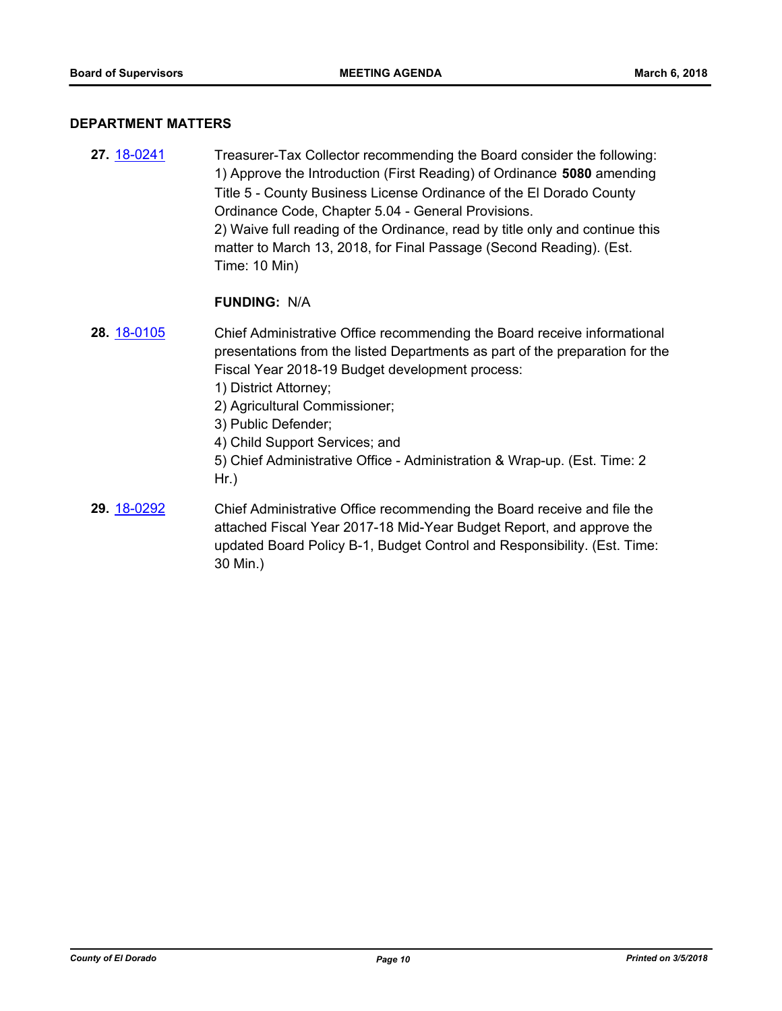#### **DEPARTMENT MATTERS**

**27.** [18-0241](http://eldorado.legistar.com/gateway.aspx?m=l&id=/matter.aspx?key=23583) Treasurer-Tax Collector recommending the Board consider the following: 1) Approve the Introduction (First Reading) of Ordinance **5080** amending Title 5 - County Business License Ordinance of the El Dorado County Ordinance Code, Chapter 5.04 - General Provisions. 2) Waive full reading of the Ordinance, read by title only and continue this matter to March 13, 2018, for Final Passage (Second Reading). (Est. Time: 10 Min)

#### **FUNDING:** N/A

- **28.** [18-0105](http://eldorado.legistar.com/gateway.aspx?m=l&id=/matter.aspx?key=23447) Chief Administrative Office recommending the Board receive informational presentations from the listed Departments as part of the preparation for the Fiscal Year 2018-19 Budget development process:
	- 1) District Attorney;
	- 2) Agricultural Commissioner;
	- 3) Public Defender;
	- 4) Child Support Services; and
	- 5) Chief Administrative Office Administration & Wrap-up. (Est. Time: 2 Hr.)
- **29.** [18-0292](http://eldorado.legistar.com/gateway.aspx?m=l&id=/matter.aspx?key=23635) Chief Administrative Office recommending the Board receive and file the attached Fiscal Year 2017-18 Mid-Year Budget Report, and approve the updated Board Policy B-1, Budget Control and Responsibility. (Est. Time: 30 Min.)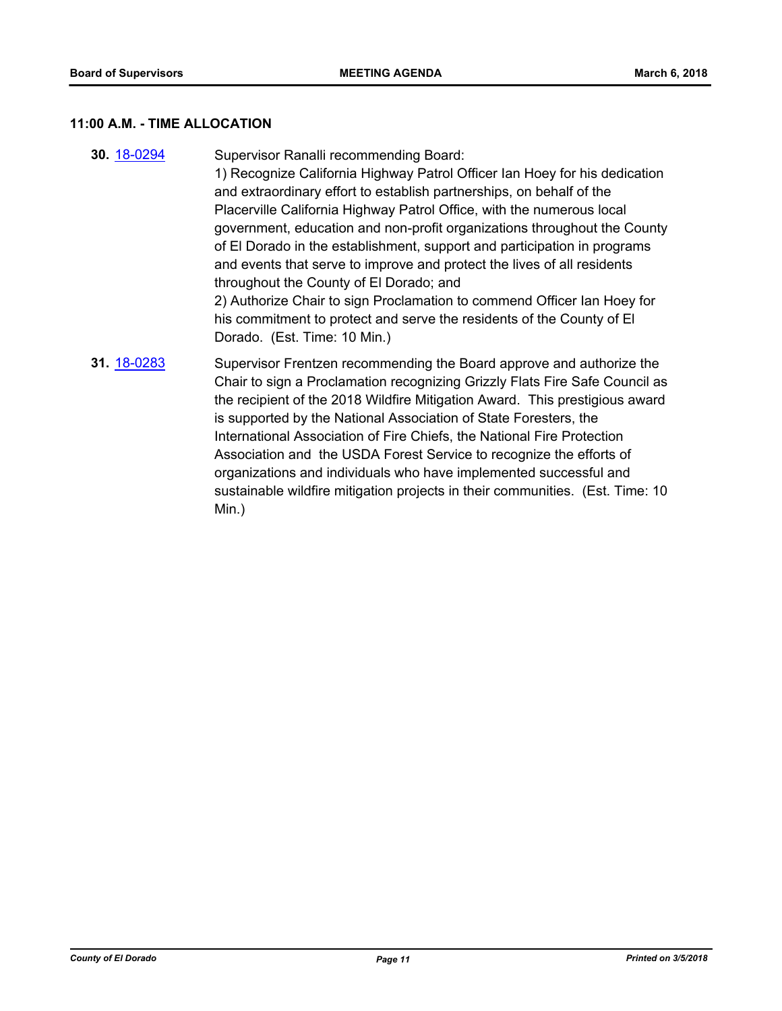## **11:00 A.M. - TIME ALLOCATION**

| 30. 18-0294 | Supervisor Ranalli recommending Board:<br>1) Recognize California Highway Patrol Officer Ian Hoey for his dedication<br>and extraordinary effort to establish partnerships, on behalf of the<br>Placerville California Highway Patrol Office, with the numerous local<br>government, education and non-profit organizations throughout the County<br>of El Dorado in the establishment, support and participation in programs<br>and events that serve to improve and protect the lives of all residents<br>throughout the County of El Dorado; and<br>2) Authorize Chair to sign Proclamation to commend Officer Ian Hoey for<br>his commitment to protect and serve the residents of the County of El<br>Dorado. (Est. Time: 10 Min.) |
|-------------|-----------------------------------------------------------------------------------------------------------------------------------------------------------------------------------------------------------------------------------------------------------------------------------------------------------------------------------------------------------------------------------------------------------------------------------------------------------------------------------------------------------------------------------------------------------------------------------------------------------------------------------------------------------------------------------------------------------------------------------------|
| 31. 18-0283 | Supervisor Frentzen recommending the Board approve and authorize the<br>Chair to sign a Proclamation recognizing Grizzly Flats Fire Safe Council as<br>the recipient of the 2018 Wildfire Mitigation Award. This prestigious award<br>is supported by the National Association of State Foresters, the<br>International Association of Fire Chiefs, the National Fire Protection<br>Association and the USDA Forest Service to recognize the efforts of<br>organizations and individuals who have implemented successful and<br>sustainable wildfire mitigation projects in their communities. (Est. Time: 10<br>Min.)                                                                                                                  |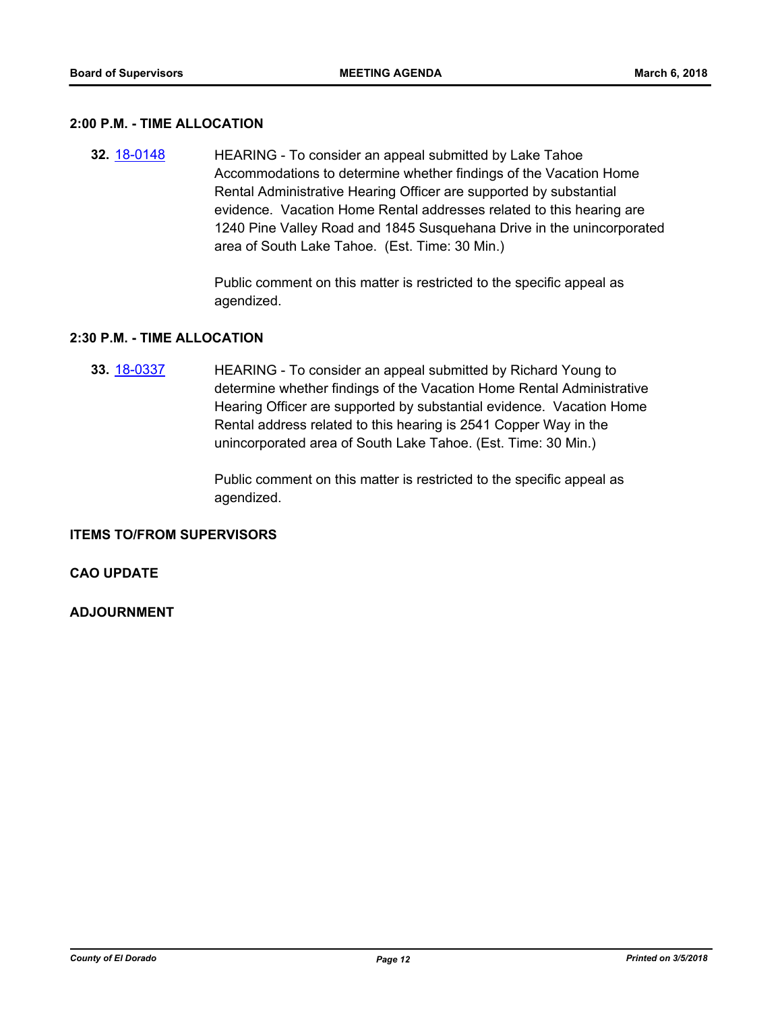#### **2:00 P.M. - TIME ALLOCATION**

**32.** [18-0148](http://eldorado.legistar.com/gateway.aspx?m=l&id=/matter.aspx?key=23490) HEARING - To consider an appeal submitted by Lake Tahoe Accommodations to determine whether findings of the Vacation Home Rental Administrative Hearing Officer are supported by substantial evidence. Vacation Home Rental addresses related to this hearing are 1240 Pine Valley Road and 1845 Susquehana Drive in the unincorporated area of South Lake Tahoe. (Est. Time: 30 Min.)

> Public comment on this matter is restricted to the specific appeal as agendized.

#### **2:30 P.M. - TIME ALLOCATION**

**33.** [18-0337](http://eldorado.legistar.com/gateway.aspx?m=l&id=/matter.aspx?key=23680) HEARING - To consider an appeal submitted by Richard Young to determine whether findings of the Vacation Home Rental Administrative Hearing Officer are supported by substantial evidence. Vacation Home Rental address related to this hearing is 2541 Copper Way in the unincorporated area of South Lake Tahoe. (Est. Time: 30 Min.)

> Public comment on this matter is restricted to the specific appeal as agendized.

#### **ITEMS TO/FROM SUPERVISORS**

#### **CAO UPDATE**

#### **ADJOURNMENT**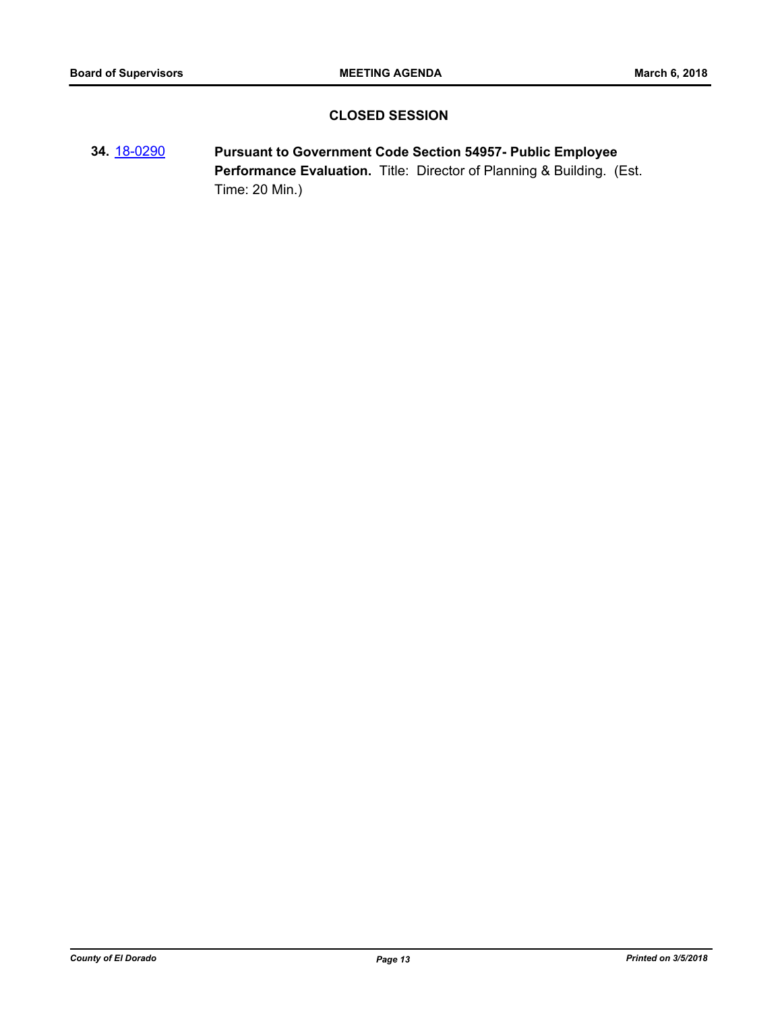## **CLOSED SESSION**

**34.** [18-0290](http://eldorado.legistar.com/gateway.aspx?m=l&id=/matter.aspx?key=23633) **Pursuant to Government Code Section 54957- Public Employee Performance Evaluation.** Title: Director of Planning & Building. (Est. Time: 20 Min.)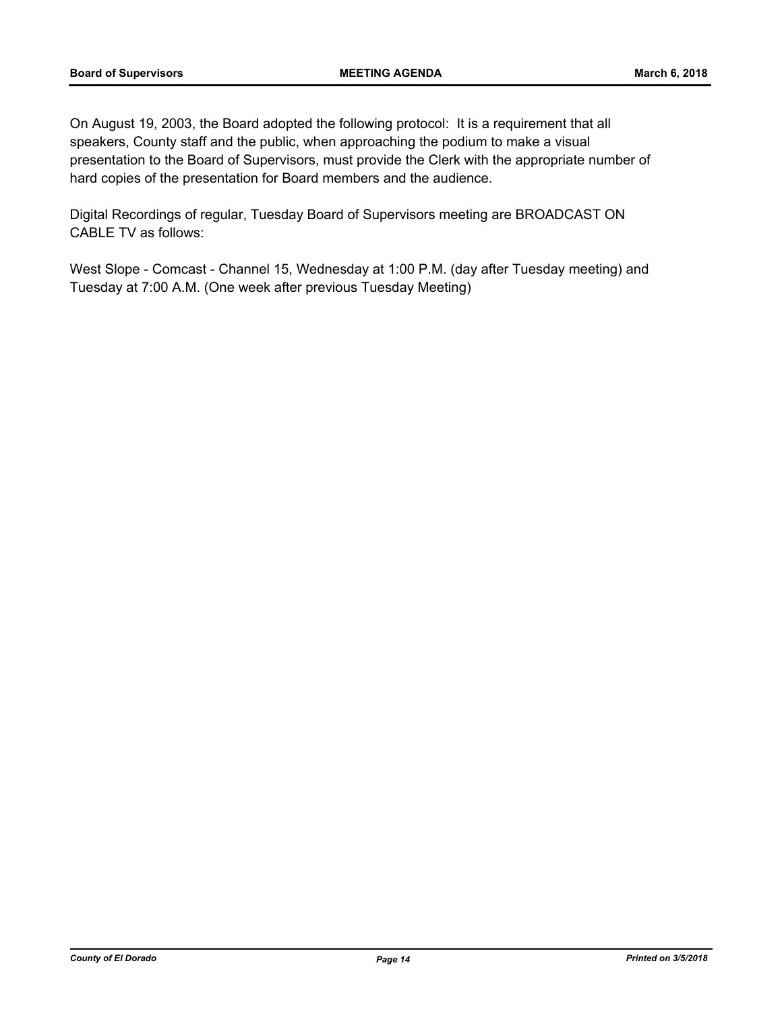On August 19, 2003, the Board adopted the following protocol: It is a requirement that all speakers, County staff and the public, when approaching the podium to make a visual presentation to the Board of Supervisors, must provide the Clerk with the appropriate number of hard copies of the presentation for Board members and the audience.

Digital Recordings of regular, Tuesday Board of Supervisors meeting are BROADCAST ON CABLE TV as follows:

West Slope - Comcast - Channel 15, Wednesday at 1:00 P.M. (day after Tuesday meeting) and Tuesday at 7:00 A.M. (One week after previous Tuesday Meeting)